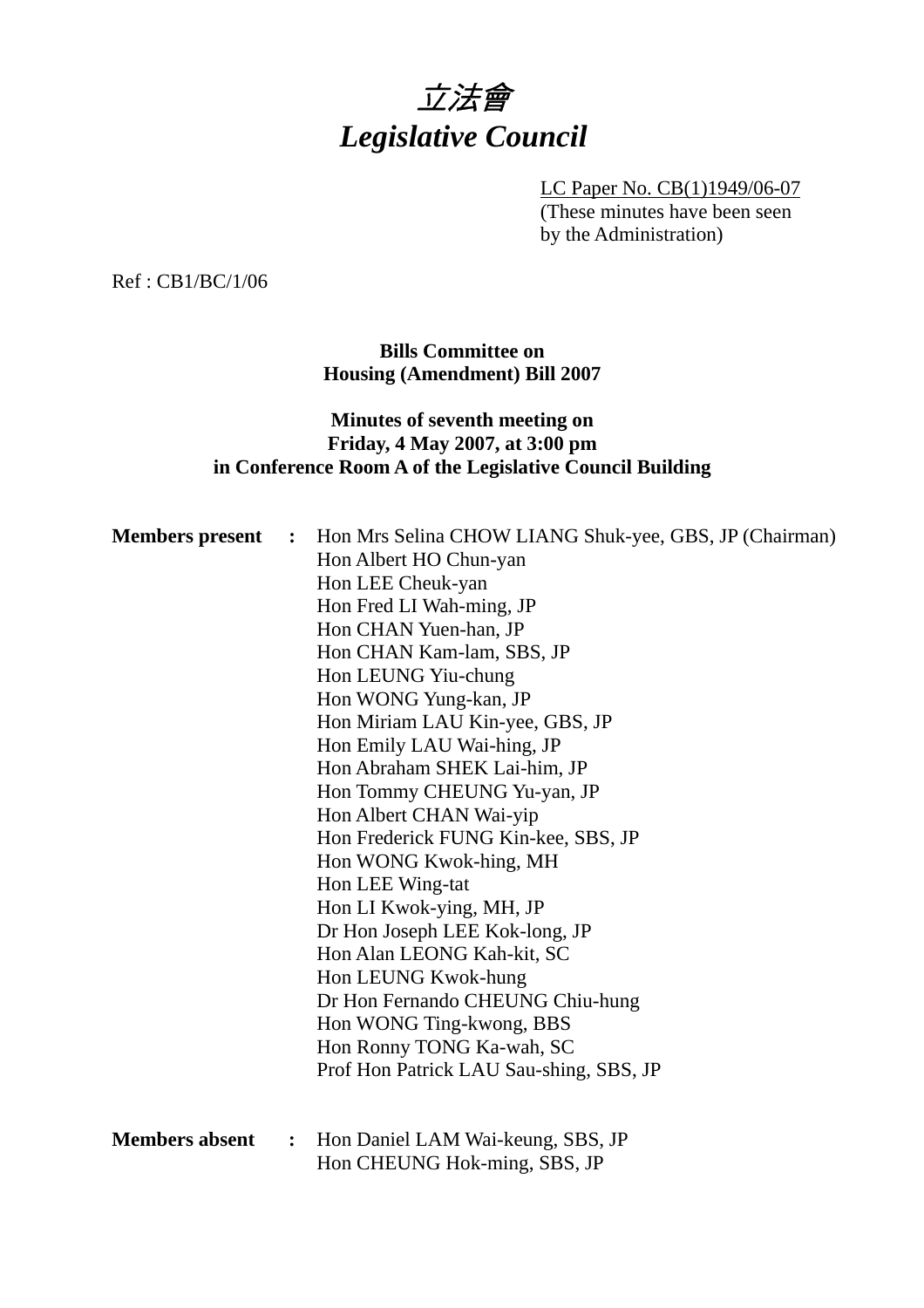

LC Paper No. CB(1)1949/06-07 (These minutes have been seen by the Administration)

Ref : CB1/BC/1/06

**Bills Committee on Housing (Amendment) Bill 2007** 

#### **Minutes of seventh meeting on Friday, 4 May 2007, at 3:00 pm in Conference Room A of the Legislative Council Building**

| <b>Members</b> present | $\ddot{\cdot}$ | Hon Mrs Selina CHOW LIANG Shuk-yee, GBS, JP (Chairman) |
|------------------------|----------------|--------------------------------------------------------|
|                        |                | Hon Albert HO Chun-yan                                 |
|                        |                | Hon LEE Cheuk-yan                                      |
|                        |                | Hon Fred LI Wah-ming, JP                               |
|                        |                | Hon CHAN Yuen-han, JP                                  |
|                        |                | Hon CHAN Kam-lam, SBS, JP                              |
|                        |                | Hon LEUNG Yiu-chung                                    |
|                        |                | Hon WONG Yung-kan, JP                                  |
|                        |                | Hon Miriam LAU Kin-yee, GBS, JP                        |
|                        |                | Hon Emily LAU Wai-hing, JP                             |
|                        |                | Hon Abraham SHEK Lai-him, JP                           |
|                        |                | Hon Tommy CHEUNG Yu-yan, JP                            |
|                        |                | Hon Albert CHAN Wai-yip                                |
|                        |                | Hon Frederick FUNG Kin-kee, SBS, JP                    |
|                        |                | Hon WONG Kwok-hing, MH                                 |
|                        |                | Hon LEE Wing-tat                                       |
|                        |                | Hon LI Kwok-ying, MH, JP                               |
|                        |                | Dr Hon Joseph LEE Kok-long, JP                         |
|                        |                | Hon Alan LEONG Kah-kit, SC                             |
|                        |                | Hon LEUNG Kwok-hung                                    |
|                        |                | Dr Hon Fernando CHEUNG Chiu-hung                       |
|                        |                | Hon WONG Ting-kwong, BBS                               |
|                        |                | Hon Ronny TONG Ka-wah, SC                              |
|                        |                | Prof Hon Patrick LAU Sau-shing, SBS, JP                |
|                        |                |                                                        |
|                        |                |                                                        |
| <b>Members absent</b>  | $\ddot{\cdot}$ | Hon Daniel LAM Wai-keung, SBS, JP                      |
|                        |                | Hon CHEUNG Hok-ming, SBS, JP                           |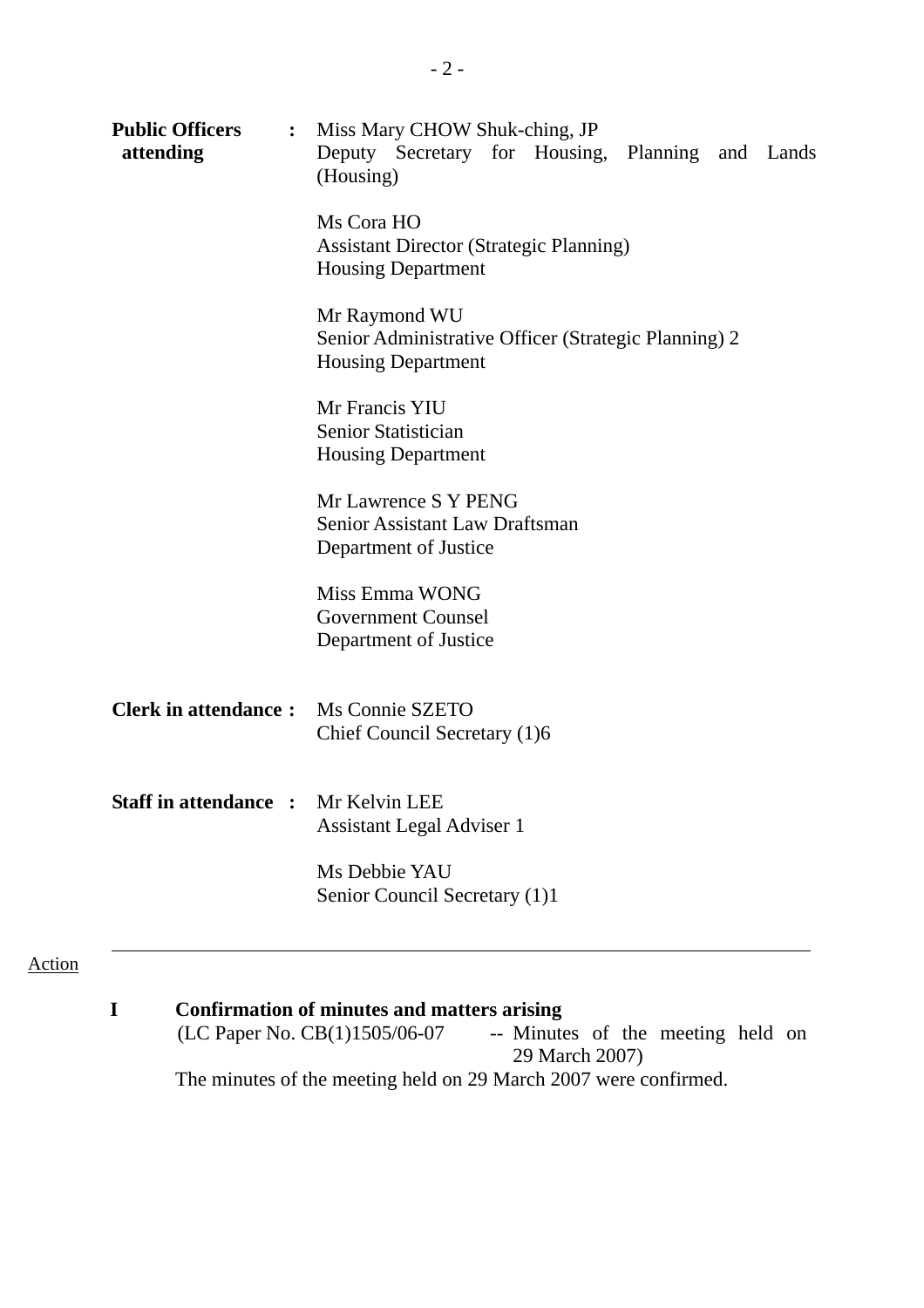| <b>Public Officers</b><br>$\ddot{\cdot}$<br>attending | Miss Mary CHOW Shuk-ching, JP<br>Deputy Secretary for Housing, Planning and Lands<br>(Housing)     |
|-------------------------------------------------------|----------------------------------------------------------------------------------------------------|
|                                                       | Ms Cora HO<br><b>Assistant Director (Strategic Planning)</b><br><b>Housing Department</b>          |
|                                                       | Mr Raymond WU<br>Senior Administrative Officer (Strategic Planning) 2<br><b>Housing Department</b> |
|                                                       | Mr Francis YIU<br>Senior Statistician<br><b>Housing Department</b>                                 |
|                                                       | Mr Lawrence S Y PENG<br>Senior Assistant Law Draftsman<br>Department of Justice                    |
|                                                       | Miss Emma WONG<br><b>Government Counsel</b><br>Department of Justice                               |
| <b>Clerk in attendance:</b>                           | Ms Connie SZETO<br>Chief Council Secretary (1)6                                                    |
| <b>Staff in attendance :</b> Mr Kelvin LEE            | <b>Assistant Legal Adviser 1</b>                                                                   |
|                                                       | Ms Debbie YAU<br>Senior Council Secretary (1)1                                                     |

# Action

# **I** Confirmation of minutes and matters arising (LC Paper No. CB(1)1505/06-07 -- Minute

-- Minutes of the meeting held on 29 March 2007) The minutes of the meeting held on 29 March 2007 were confirmed.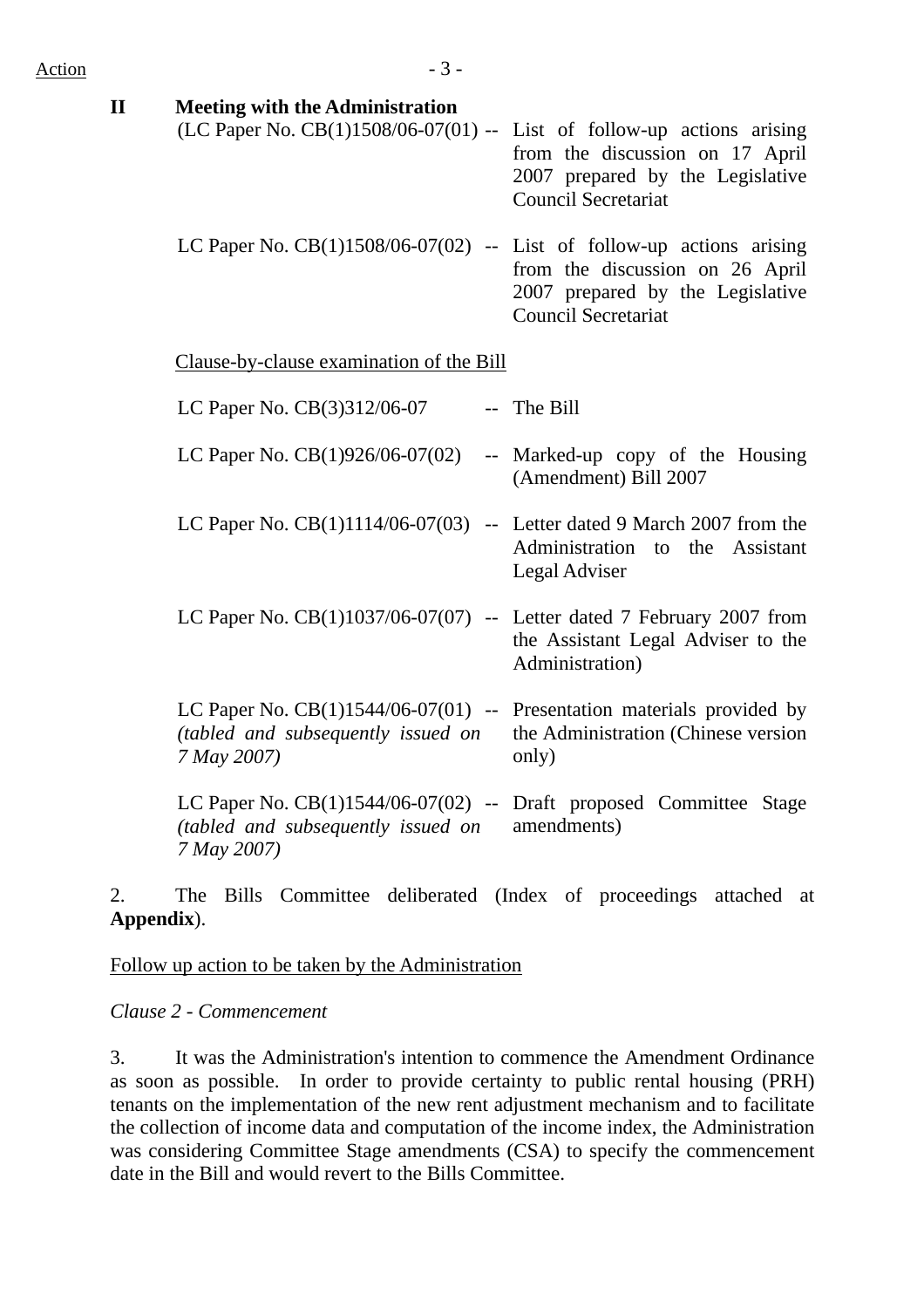| <b>Meeting with the Administration</b> |                                                                          |
|----------------------------------------|--------------------------------------------------------------------------|
|                                        |                                                                          |
|                                        | from the discussion on 17 April                                          |
|                                        | 2007 prepared by the Legislative                                         |
|                                        | <b>Council Secretariat</b>                                               |
|                                        |                                                                          |
|                                        | (LC Paper No. $CB(1)1508/06-07(01)$ -- List of follow-up actions arising |

LC Paper No.  $CB(1)1508/06-07(02)$  -- List of follow-up actions arising from the discussion on 26 April 2007 prepared by the Legislative Council Secretariat

Clause-by-clause examination of the Bill

| LC Paper No. CB(3)312/06-07                                                                                                      | -- The Bill                                                                               |
|----------------------------------------------------------------------------------------------------------------------------------|-------------------------------------------------------------------------------------------|
| LC Paper No. $CB(1)926/06-07(02)$                                                                                                | -- Marked-up copy of the Housing<br>(Amendment) Bill 2007                                 |
| LC Paper No. $CB(1)1114/06-07(03)$                                                                                               | -- Letter dated 9 March 2007 from the<br>Administration to the Assistant<br>Legal Adviser |
| LC Paper No. $CB(1)1037/06-07(07)$ -- Letter dated 7 February 2007 from                                                          | the Assistant Legal Adviser to the<br>Administration)                                     |
| LC Paper No. $CB(1)1544/06-07(01)$ -- Presentation materials provided by<br>(tabled and subsequently issued on<br>7 May 2007)    | the Administration (Chinese version)<br>only)                                             |
| LC Paper No. $CB(1)1544/06-07(02)$ -- Draft proposed Committee Stage<br><i>(tabled and subsequently issued on</i><br>7 May 2007) | amendments)                                                                               |

2. The Bills Committee deliberated (Index of proceedings attached at **Appendix**).

Follow up action to be taken by the Administration

*Clause 2 - Commencement* 

3. It was the Administration's intention to commence the Amendment Ordinance as soon as possible. In order to provide certainty to public rental housing (PRH) tenants on the implementation of the new rent adjustment mechanism and to facilitate the collection of income data and computation of the income index, the Administration was considering Committee Stage amendments (CSA) to specify the commencement date in the Bill and would revert to the Bills Committee.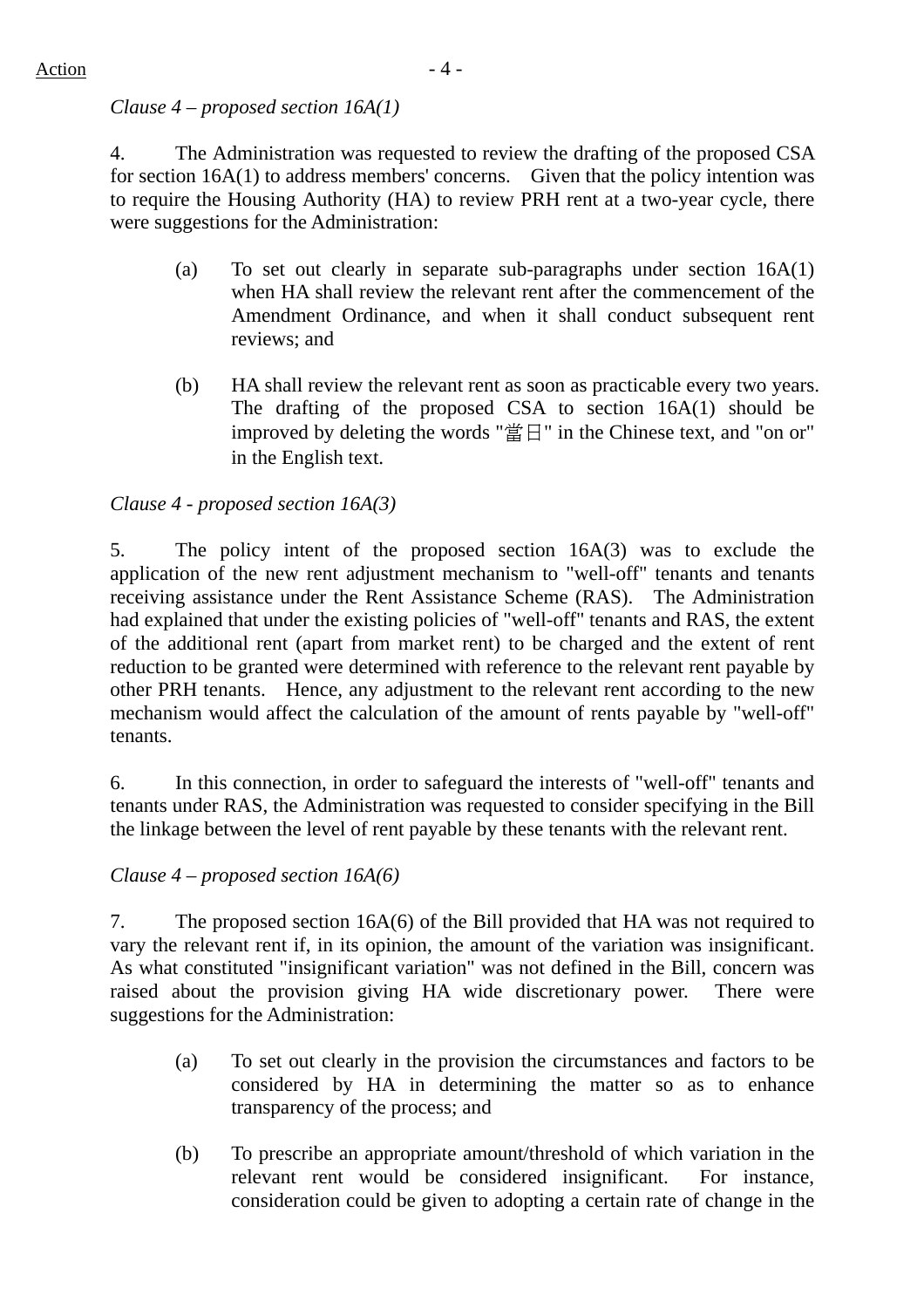# *Clause 4 – proposed section 16A(1)*

4. The Administration was requested to review the drafting of the proposed CSA for section 16A(1) to address members' concerns. Given that the policy intention was to require the Housing Authority (HA) to review PRH rent at a two-year cycle, there were suggestions for the Administration:

- (a) To set out clearly in separate sub-paragraphs under section 16A(1) when HA shall review the relevant rent after the commencement of the Amendment Ordinance, and when it shall conduct subsequent rent reviews; and
- (b) HA shall review the relevant rent as soon as practicable every two years. The drafting of the proposed CSA to section 16A(1) should be improved by deleting the words "當日" in the Chinese text, and "on or" in the English text.

# *Clause 4 - proposed section 16A(3)*

5. The policy intent of the proposed section 16A(3) was to exclude the application of the new rent adjustment mechanism to "well-off" tenants and tenants receiving assistance under the Rent Assistance Scheme (RAS). The Administration had explained that under the existing policies of "well-off" tenants and RAS, the extent of the additional rent (apart from market rent) to be charged and the extent of rent reduction to be granted were determined with reference to the relevant rent payable by other PRH tenants. Hence, any adjustment to the relevant rent according to the new mechanism would affect the calculation of the amount of rents payable by "well-off" tenants.

6. In this connection, in order to safeguard the interests of "well-off" tenants and tenants under RAS, the Administration was requested to consider specifying in the Bill the linkage between the level of rent payable by these tenants with the relevant rent.

# *Clause 4 – proposed section 16A(6)*

7. The proposed section 16A(6) of the Bill provided that HA was not required to vary the relevant rent if, in its opinion, the amount of the variation was insignificant. As what constituted "insignificant variation" was not defined in the Bill, concern was raised about the provision giving HA wide discretionary power. There were suggestions for the Administration:

- (a) To set out clearly in the provision the circumstances and factors to be considered by HA in determining the matter so as to enhance transparency of the process; and
- (b) To prescribe an appropriate amount/threshold of which variation in the relevant rent would be considered insignificant. For instance, consideration could be given to adopting a certain rate of change in the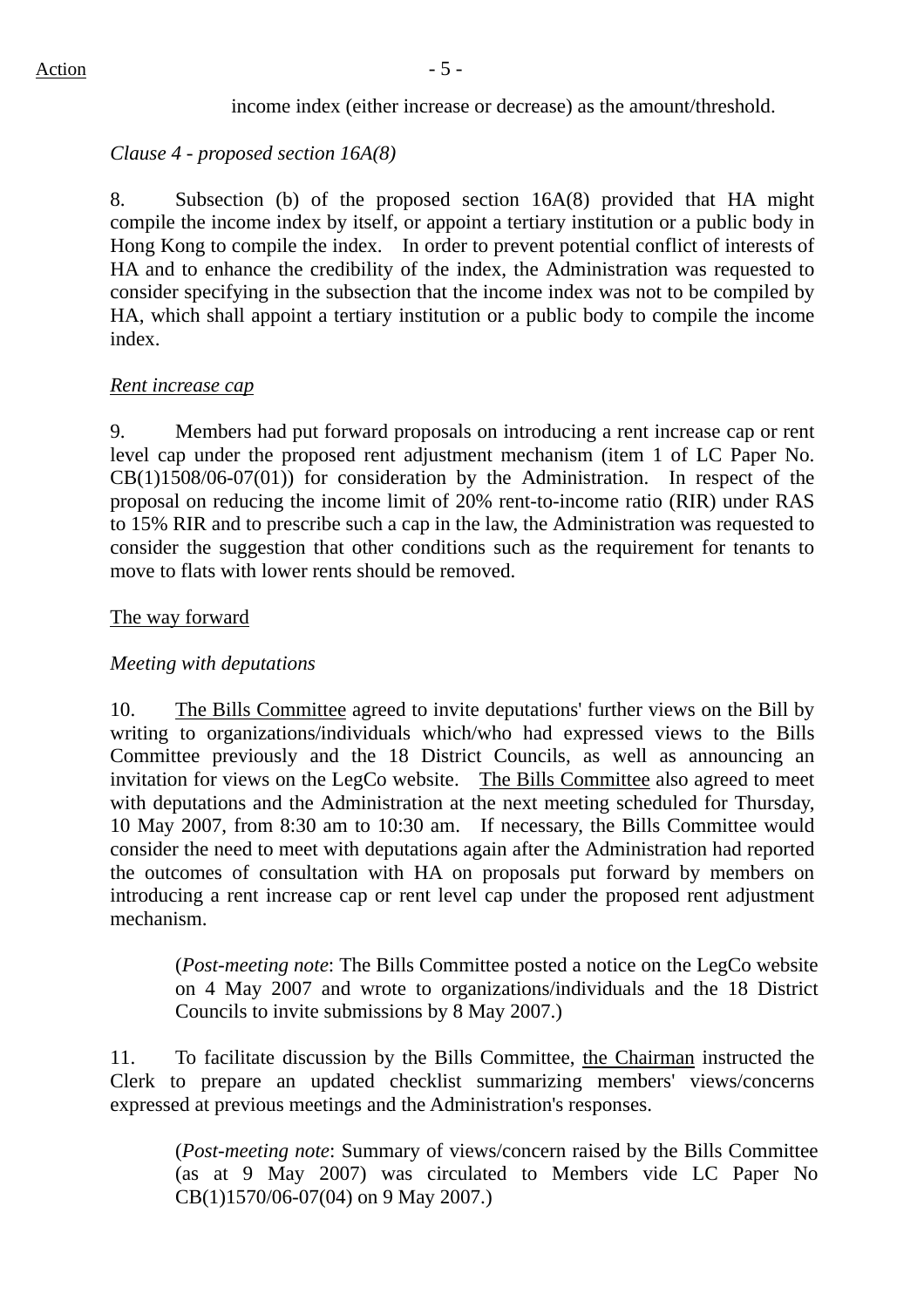#### income index (either increase or decrease) as the amount/threshold.

#### *Clause 4 - proposed section 16A(8)*

8. Subsection (b) of the proposed section 16A(8) provided that HA might compile the income index by itself, or appoint a tertiary institution or a public body in Hong Kong to compile the index. In order to prevent potential conflict of interests of HA and to enhance the credibility of the index, the Administration was requested to consider specifying in the subsection that the income index was not to be compiled by HA, which shall appoint a tertiary institution or a public body to compile the income index.

#### *Rent increase cap*

9. Members had put forward proposals on introducing a rent increase cap or rent level cap under the proposed rent adjustment mechanism (item 1 of LC Paper No. CB(1)1508/06-07(01)) for consideration by the Administration. In respect of the proposal on reducing the income limit of 20% rent-to-income ratio (RIR) under RAS to 15% RIR and to prescribe such a cap in the law, the Administration was requested to consider the suggestion that other conditions such as the requirement for tenants to move to flats with lower rents should be removed.

#### The way forward

#### *Meeting with deputations*

10. The Bills Committee agreed to invite deputations' further views on the Bill by writing to organizations/individuals which/who had expressed views to the Bills Committee previously and the 18 District Councils, as well as announcing an invitation for views on the LegCo website. The Bills Committee also agreed to meet with deputations and the Administration at the next meeting scheduled for Thursday, 10 May 2007, from 8:30 am to 10:30 am. If necessary, the Bills Committee would consider the need to meet with deputations again after the Administration had reported the outcomes of consultation with HA on proposals put forward by members on introducing a rent increase cap or rent level cap under the proposed rent adjustment mechanism.

(*Post-meeting note*: The Bills Committee posted a notice on the LegCo website on 4 May 2007 and wrote to organizations/individuals and the 18 District Councils to invite submissions by 8 May 2007.)

11. To facilitate discussion by the Bills Committee, the Chairman instructed the Clerk to prepare an updated checklist summarizing members' views/concerns expressed at previous meetings and the Administration's responses.

(*Post-meeting note*: Summary of views/concern raised by the Bills Committee (as at 9 May 2007) was circulated to Members vide LC Paper No CB(1)1570/06-07(04) on 9 May 2007.)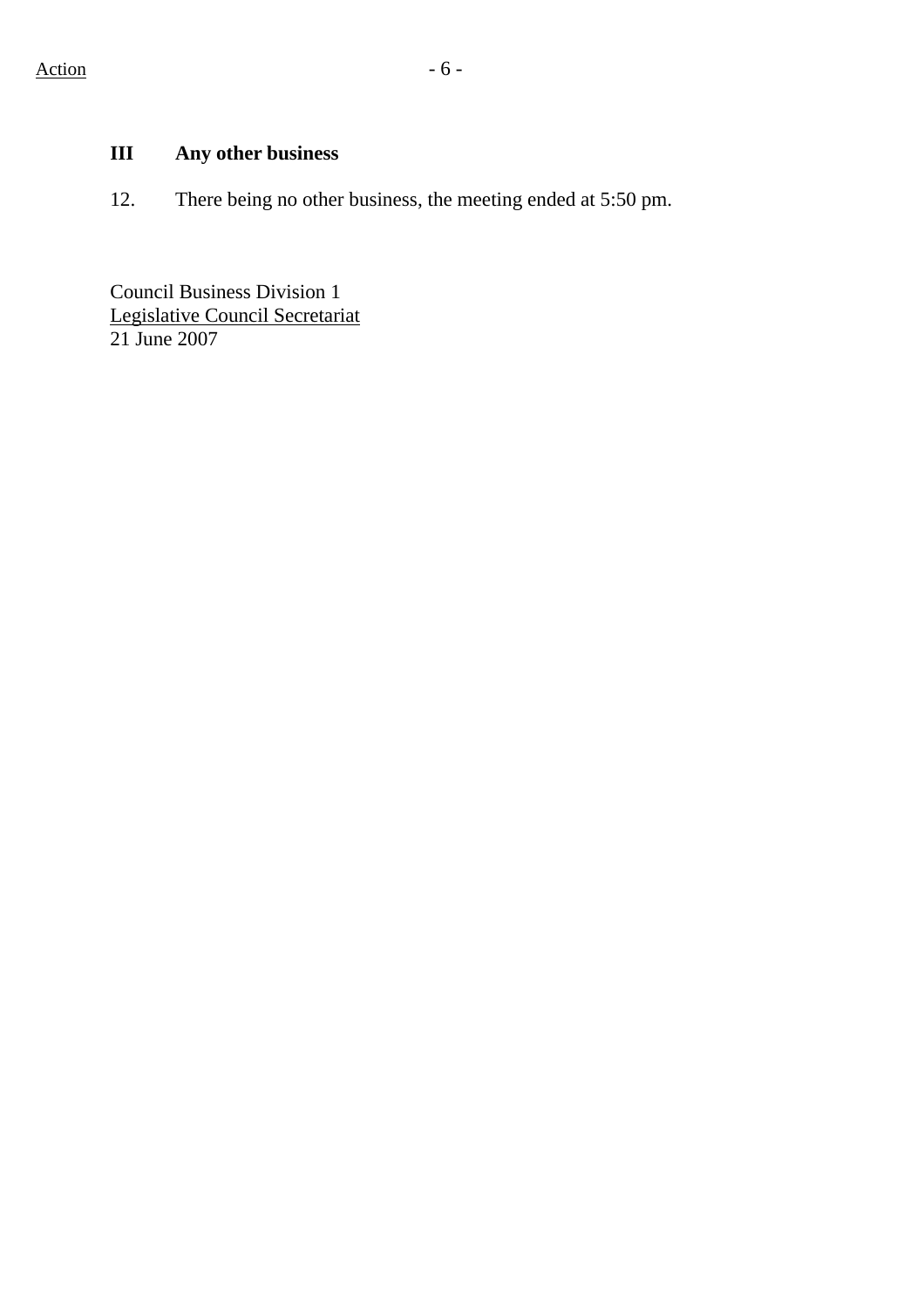# **III Any other business**

12. There being no other business, the meeting ended at 5:50 pm.

Council Business Division 1 Legislative Council Secretariat 21 June 2007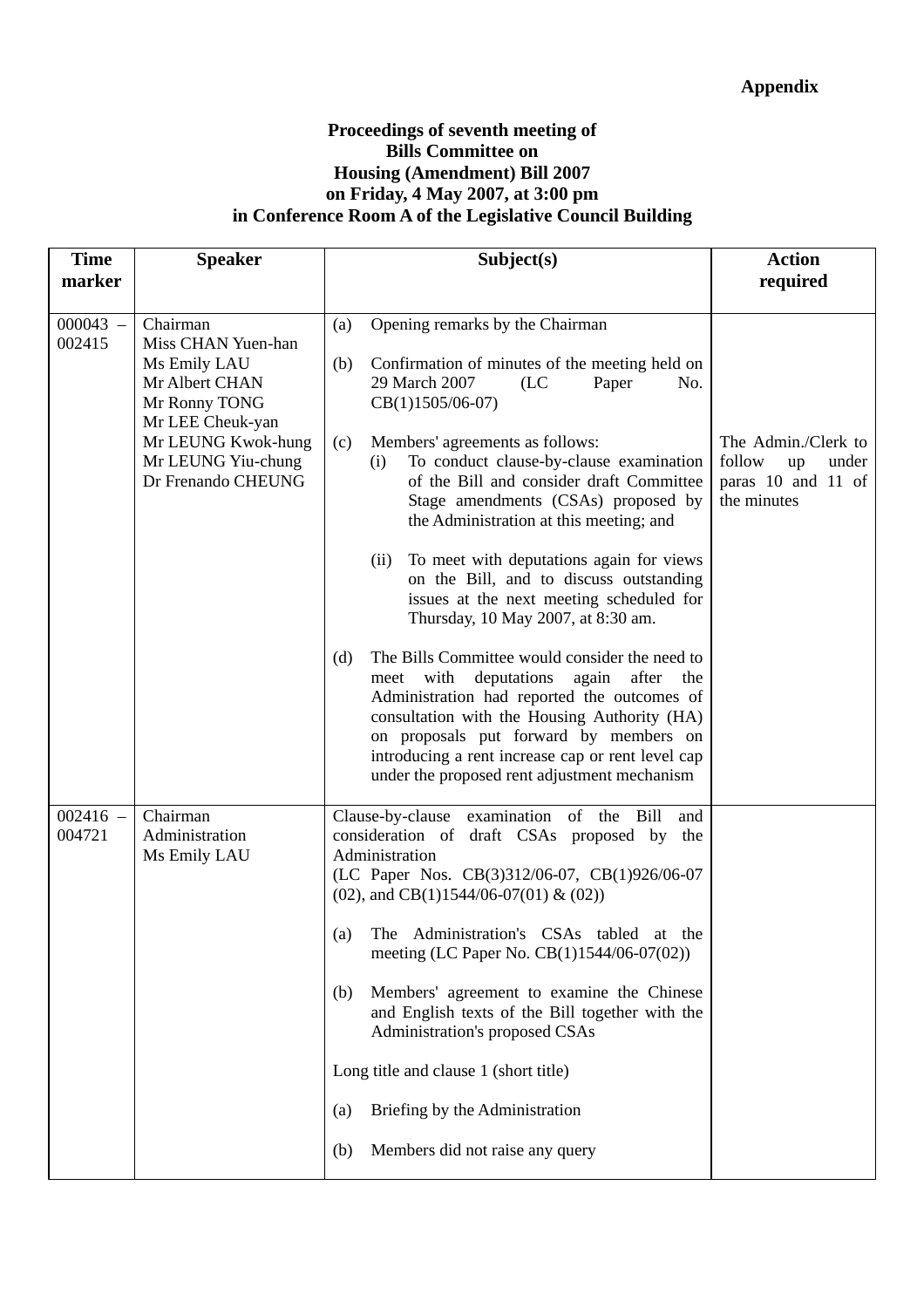#### **Proceedings of seventh meeting of Bills Committee on Housing (Amendment) Bill 2007 on Friday, 4 May 2007, at 3:00 pm in Conference Room A of the Legislative Council Building**

| <b>Time</b>          | <b>Speaker</b>                                                                                                                                                          | Subject(s)                                                                                                                                                                                                                                                                                                                                                                                                                                                                                                                                                                                                                                                                                                                                                                                                                                                                                                                            | <b>Action</b>                                                                     |
|----------------------|-------------------------------------------------------------------------------------------------------------------------------------------------------------------------|---------------------------------------------------------------------------------------------------------------------------------------------------------------------------------------------------------------------------------------------------------------------------------------------------------------------------------------------------------------------------------------------------------------------------------------------------------------------------------------------------------------------------------------------------------------------------------------------------------------------------------------------------------------------------------------------------------------------------------------------------------------------------------------------------------------------------------------------------------------------------------------------------------------------------------------|-----------------------------------------------------------------------------------|
| marker               |                                                                                                                                                                         |                                                                                                                                                                                                                                                                                                                                                                                                                                                                                                                                                                                                                                                                                                                                                                                                                                                                                                                                       | required                                                                          |
| $000043 -$<br>002415 | Chairman<br>Miss CHAN Yuen-han<br>Ms Emily LAU<br>Mr Albert CHAN<br>Mr Ronny TONG<br>Mr LEE Cheuk-yan<br>Mr LEUNG Kwok-hung<br>Mr LEUNG Yiu-chung<br>Dr Frenando CHEUNG | Opening remarks by the Chairman<br>(a)<br>Confirmation of minutes of the meeting held on<br>(b)<br>29 March 2007<br>(LC)<br>No.<br>Paper<br>$CB(1)1505/06-07)$<br>Members' agreements as follows:<br>(c)<br>To conduct clause-by-clause examination<br>(i)<br>of the Bill and consider draft Committee<br>Stage amendments (CSAs) proposed by<br>the Administration at this meeting; and<br>To meet with deputations again for views<br>(ii)<br>on the Bill, and to discuss outstanding<br>issues at the next meeting scheduled for<br>Thursday, 10 May 2007, at 8:30 am.<br>The Bills Committee would consider the need to<br>(d)<br>deputations<br>after<br>meet with<br>again<br>the<br>Administration had reported the outcomes of<br>consultation with the Housing Authority (HA)<br>on proposals put forward by members on<br>introducing a rent increase cap or rent level cap<br>under the proposed rent adjustment mechanism | The Admin./Clerk to<br>follow<br>up<br>under<br>paras 10 and 11 of<br>the minutes |
| $002416 -$<br>004721 | Chairman<br>Administration<br>Ms Emily LAU                                                                                                                              | Clause-by-clause examination of the<br>Bill<br>and<br>consideration of draft CSAs proposed by the<br>Administration<br>(LC Paper Nos. CB(3)312/06-07, CB(1)926/06-07<br>(02), and CB(1)1544/06-07(01) & (02))<br>The Administration's CSAs tabled at the<br>(a)<br>meeting (LC Paper No. CB(1)1544/06-07(02))<br>Members' agreement to examine the Chinese<br>(b)<br>and English texts of the Bill together with the<br>Administration's proposed CSAs<br>Long title and clause 1 (short title)<br>Briefing by the Administration<br>(a)<br>Members did not raise any query<br>(b)                                                                                                                                                                                                                                                                                                                                                    |                                                                                   |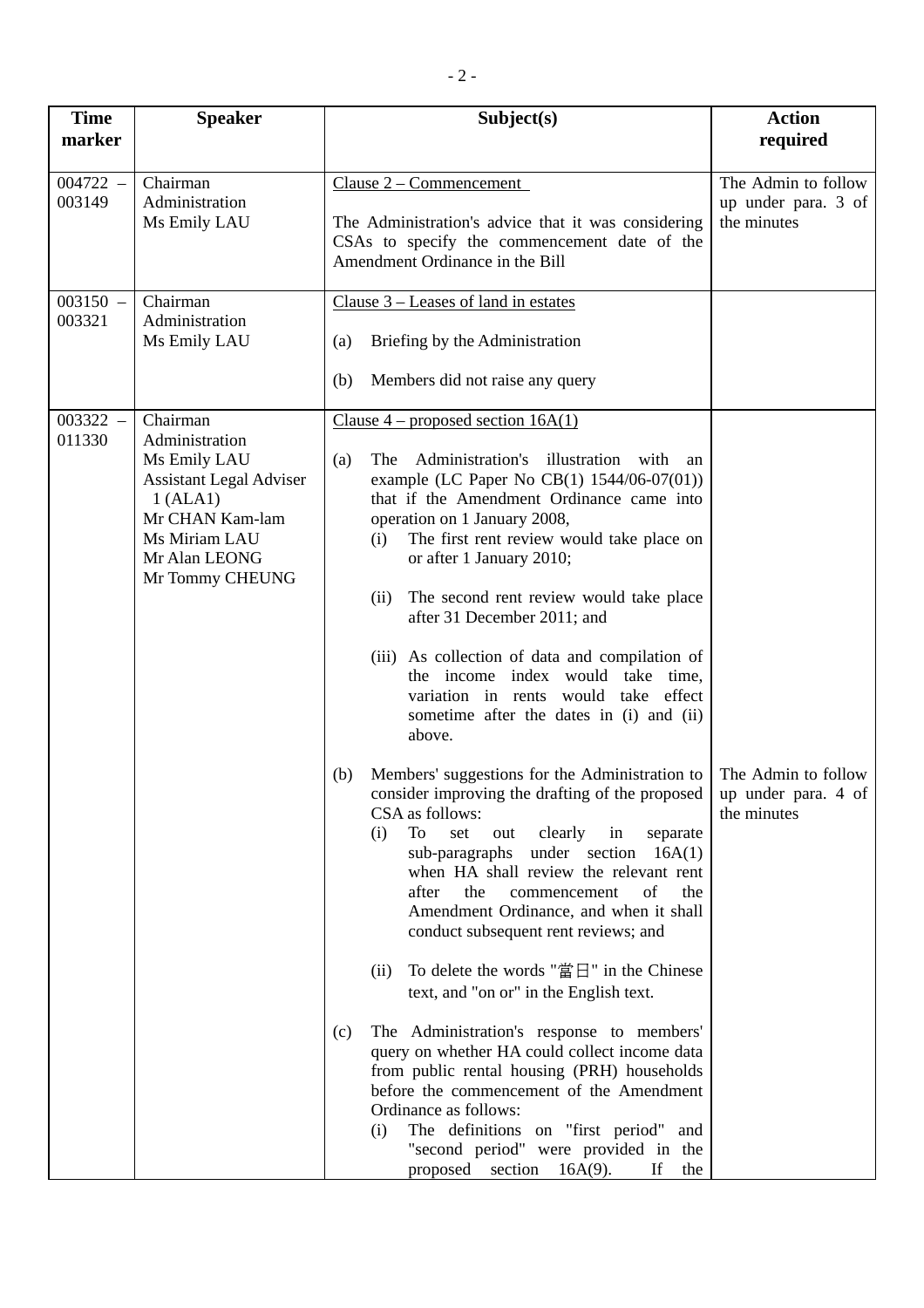| <b>Time</b>          | <b>Speaker</b>                                                                                                                                                   | Subject(s)                                                                                                                                                                                                                                                                                                                                                                                                                                                                                                                                                                                                                                                                                                                                                                                                       | <b>Action</b>                                             |
|----------------------|------------------------------------------------------------------------------------------------------------------------------------------------------------------|------------------------------------------------------------------------------------------------------------------------------------------------------------------------------------------------------------------------------------------------------------------------------------------------------------------------------------------------------------------------------------------------------------------------------------------------------------------------------------------------------------------------------------------------------------------------------------------------------------------------------------------------------------------------------------------------------------------------------------------------------------------------------------------------------------------|-----------------------------------------------------------|
| marker               |                                                                                                                                                                  |                                                                                                                                                                                                                                                                                                                                                                                                                                                                                                                                                                                                                                                                                                                                                                                                                  | required                                                  |
| $004722 -$<br>003149 | Chairman<br>Administration<br>Ms Emily LAU                                                                                                                       | Clause $2$ – Commencement<br>The Administration's advice that it was considering<br>CSAs to specify the commencement date of the<br>Amendment Ordinance in the Bill                                                                                                                                                                                                                                                                                                                                                                                                                                                                                                                                                                                                                                              | The Admin to follow<br>up under para. 3 of<br>the minutes |
| $003150 -$<br>003321 | Chairman<br>Administration<br>Ms Emily LAU                                                                                                                       | Clause $3$ – Leases of land in estates<br>Briefing by the Administration<br>(a)<br>(b)<br>Members did not raise any query                                                                                                                                                                                                                                                                                                                                                                                                                                                                                                                                                                                                                                                                                        |                                                           |
| $003322 -$<br>011330 | Chairman<br>Administration<br>Ms Emily LAU<br><b>Assistant Legal Adviser</b><br>1 (ALA1)<br>Mr CHAN Kam-lam<br>Ms Miriam LAU<br>Mr Alan LEONG<br>Mr Tommy CHEUNG | Clause $4$ – proposed section 16A(1)<br>Administration's illustration with<br>The<br>(a)<br>an<br>example (LC Paper No CB(1) 1544/06-07(01))<br>that if the Amendment Ordinance came into<br>operation on 1 January 2008,<br>The first rent review would take place on<br>(i)<br>or after 1 January 2010;<br>The second rent review would take place<br>(ii)<br>after 31 December 2011; and<br>(iii) As collection of data and compilation of<br>the income index would take time,<br>variation in rents would take effect<br>sometime after the dates in (i) and (ii)<br>above.<br>Members' suggestions for the Administration to<br>(b)<br>consider improving the drafting of the proposed<br>CSA as follows:<br>To<br>set<br>(i)<br>clearly<br>in<br>separate<br>out<br>sub-paragraphs under section $16A(1)$ | The Admin to follow<br>up under para. 4 of<br>the minutes |
|                      |                                                                                                                                                                  | when HA shall review the relevant rent<br>the<br>of<br>after<br>the<br>commencement<br>Amendment Ordinance, and when it shall<br>conduct subsequent rent reviews; and<br>To delete the words "當日" in the Chinese<br>(ii)<br>text, and "on or" in the English text.<br>The Administration's response to members'<br>(c)<br>query on whether HA could collect income data<br>from public rental housing (PRH) households<br>before the commencement of the Amendment<br>Ordinance as follows:<br>The definitions on "first period" and<br>(i)<br>"second period" were provided in the<br>proposed section $16A(9)$ .<br>If<br>the                                                                                                                                                                                  |                                                           |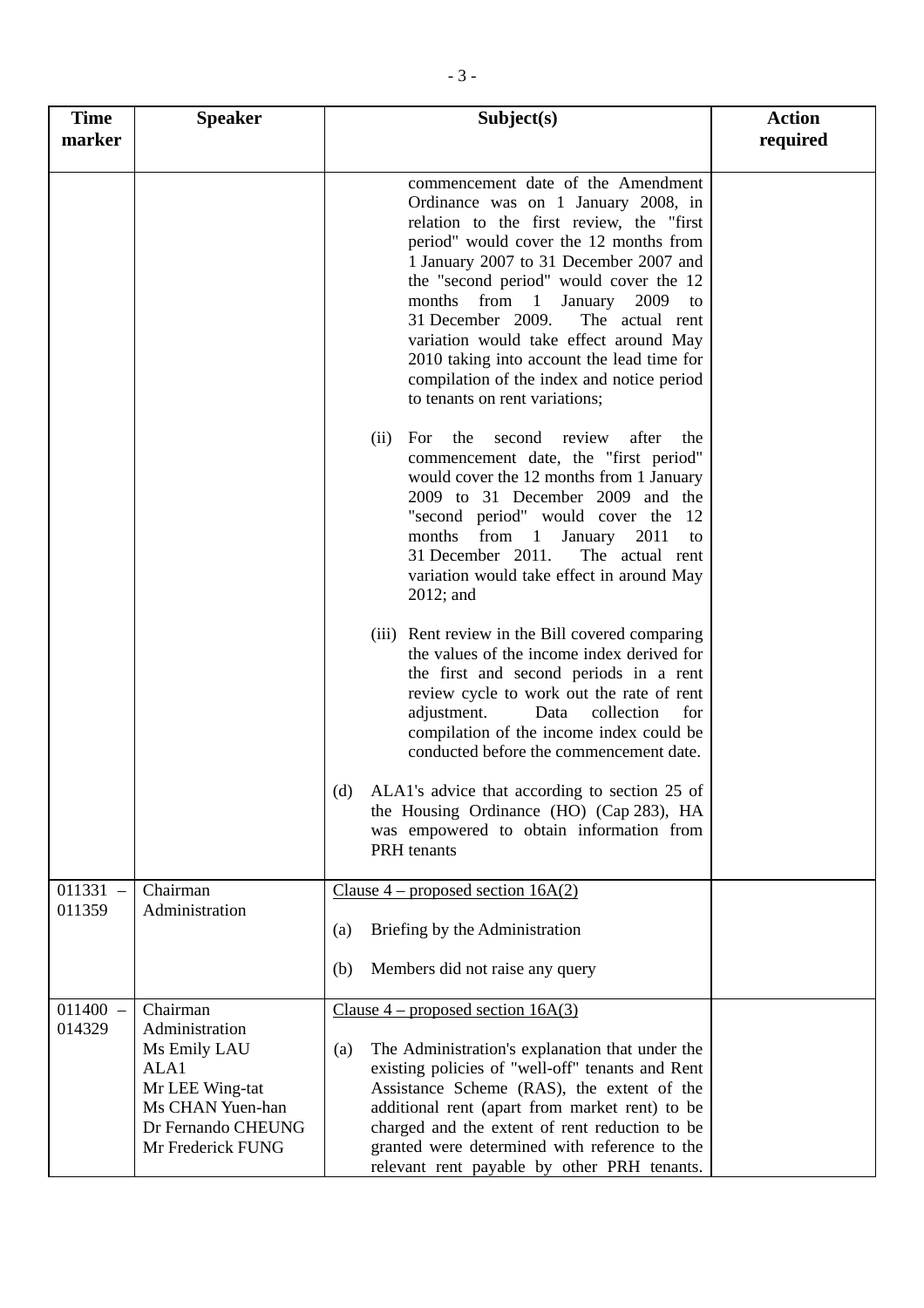| <b>Time</b><br>marker | <b>Speaker</b>                                                                                                                       | Subject(s)                                                                                                                                                                                                                                                                                                                                                                                                                                                                                                    | <b>Action</b><br>required |
|-----------------------|--------------------------------------------------------------------------------------------------------------------------------------|---------------------------------------------------------------------------------------------------------------------------------------------------------------------------------------------------------------------------------------------------------------------------------------------------------------------------------------------------------------------------------------------------------------------------------------------------------------------------------------------------------------|---------------------------|
|                       |                                                                                                                                      | commencement date of the Amendment<br>Ordinance was on 1 January 2008, in<br>relation to the first review, the "first<br>period" would cover the 12 months from<br>1 January 2007 to 31 December 2007 and<br>the "second period" would cover the 12<br>months from 1<br>January<br>2009<br>to<br>31 December 2009.<br>The actual rent<br>variation would take effect around May<br>2010 taking into account the lead time for<br>compilation of the index and notice period<br>to tenants on rent variations; |                           |
|                       |                                                                                                                                      | review<br>after<br>For<br>the<br>second<br>the<br>(ii)<br>commencement date, the "first period"<br>would cover the 12 months from 1 January<br>2009 to 31 December 2009 and the<br>"second period" would cover the 12<br>from 1<br>months<br>January<br>2011<br>to<br>31 December 2011.<br>The actual rent<br>variation would take effect in around May<br>$2012$ ; and                                                                                                                                       |                           |
|                       |                                                                                                                                      | (iii) Rent review in the Bill covered comparing<br>the values of the income index derived for<br>the first and second periods in a rent<br>review cycle to work out the rate of rent<br>adjustment.<br>Data<br>collection<br>for<br>compilation of the income index could be<br>conducted before the commencement date.                                                                                                                                                                                       |                           |
|                       |                                                                                                                                      | ALA1's advice that according to section 25 of<br>(d)<br>the Housing Ordinance (HO) (Cap 283), HA<br>was empowered to obtain information from<br>PRH tenants                                                                                                                                                                                                                                                                                                                                                   |                           |
| $011331 -$<br>011359  | Chairman<br>Administration                                                                                                           | Clause $4$ – proposed section $16A(2)$                                                                                                                                                                                                                                                                                                                                                                                                                                                                        |                           |
|                       |                                                                                                                                      | Briefing by the Administration<br>(a)                                                                                                                                                                                                                                                                                                                                                                                                                                                                         |                           |
|                       |                                                                                                                                      | Members did not raise any query<br>(b)                                                                                                                                                                                                                                                                                                                                                                                                                                                                        |                           |
| $011400 -$<br>014329  | Chairman<br>Administration<br>Ms Emily LAU<br>ALA1<br>Mr LEE Wing-tat<br>Ms CHAN Yuen-han<br>Dr Fernando CHEUNG<br>Mr Frederick FUNG | Clause $4$ – proposed section 16A(3)<br>The Administration's explanation that under the<br>(a)<br>existing policies of "well-off" tenants and Rent<br>Assistance Scheme (RAS), the extent of the<br>additional rent (apart from market rent) to be<br>charged and the extent of rent reduction to be<br>granted were determined with reference to the<br>relevant rent payable by other PRH tenants.                                                                                                          |                           |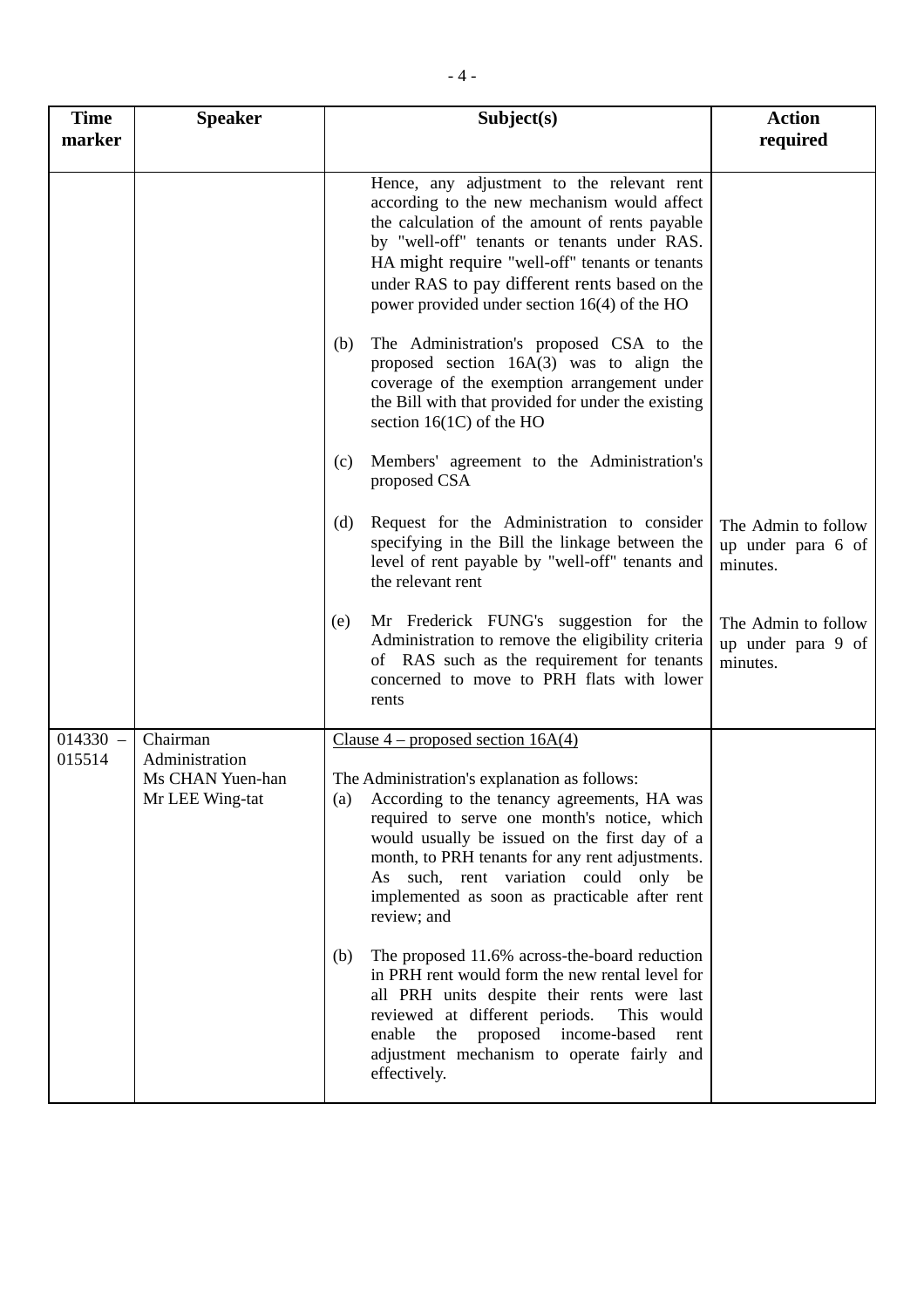| <b>Time</b><br>marker | <b>Speaker</b>                                        | Subject(s)                                                                                                                                                                                                                                                                                                                                                     | <b>Action</b><br>required                             |
|-----------------------|-------------------------------------------------------|----------------------------------------------------------------------------------------------------------------------------------------------------------------------------------------------------------------------------------------------------------------------------------------------------------------------------------------------------------------|-------------------------------------------------------|
|                       |                                                       | Hence, any adjustment to the relevant rent<br>according to the new mechanism would affect<br>the calculation of the amount of rents payable<br>by "well-off" tenants or tenants under RAS.<br>HA might require "well-off" tenants or tenants<br>under RAS to pay different rents based on the<br>power provided under section 16(4) of the HO                  |                                                       |
|                       |                                                       | The Administration's proposed CSA to the<br>(b)<br>proposed section $16A(3)$ was to align the<br>coverage of the exemption arrangement under<br>the Bill with that provided for under the existing<br>section $16(1C)$ of the HO                                                                                                                               |                                                       |
|                       |                                                       | Members' agreement to the Administration's<br>(c)<br>proposed CSA                                                                                                                                                                                                                                                                                              |                                                       |
|                       |                                                       | Request for the Administration to consider<br>(d)<br>specifying in the Bill the linkage between the<br>level of rent payable by "well-off" tenants and<br>the relevant rent                                                                                                                                                                                    | The Admin to follow<br>up under para 6 of<br>minutes. |
|                       |                                                       | Mr Frederick FUNG's suggestion for the<br>(e)<br>Administration to remove the eligibility criteria<br>of RAS such as the requirement for tenants<br>concerned to move to PRH flats with lower<br>rents                                                                                                                                                         | The Admin to follow<br>up under para 9 of<br>minutes. |
| $014330 -$            | Chairman                                              | Clause $4$ – proposed section 16A(4)                                                                                                                                                                                                                                                                                                                           |                                                       |
| 015514                | Administration<br>Ms CHAN Yuen-han<br>Mr LEE Wing-tat | The Administration's explanation as follows:<br>(a) According to the tenancy agreements, HA was<br>required to serve one month's notice, which<br>would usually be issued on the first day of a<br>month, to PRH tenants for any rent adjustments.<br>As such, rent variation could only<br>be<br>implemented as soon as practicable after rent<br>review; and |                                                       |
|                       |                                                       | The proposed 11.6% across-the-board reduction<br>(b)<br>in PRH rent would form the new rental level for<br>all PRH units despite their rents were last<br>reviewed at different periods.<br>This would<br>proposed income-based<br>enable<br>the<br>rent<br>adjustment mechanism to operate fairly and<br>effectively.                                         |                                                       |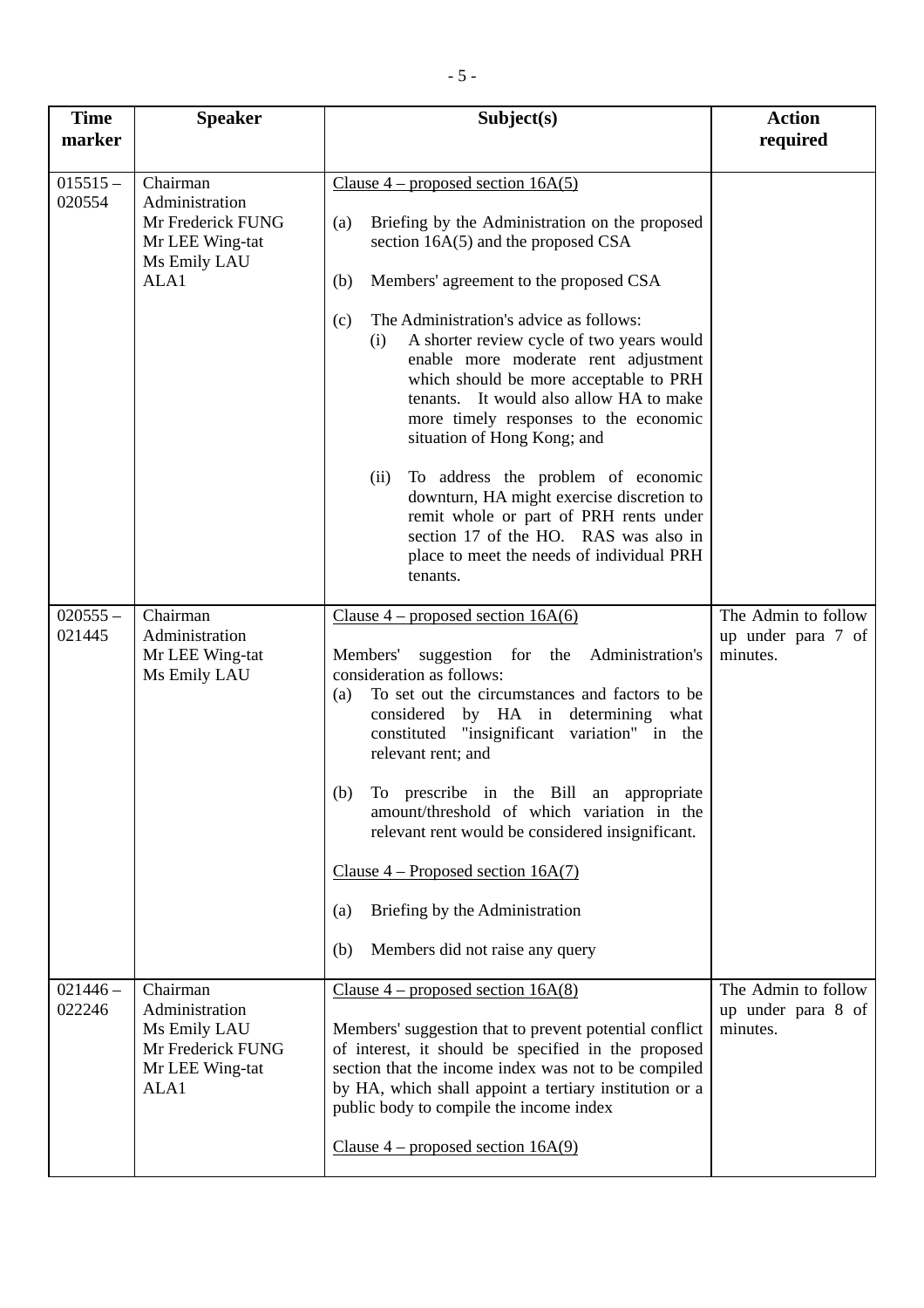| <b>Time</b><br>marker | <b>Speaker</b>                                                                             | Subject(s)                                                                                                                                                                                                                                                                                                                                                 | <b>Action</b><br>required                             |
|-----------------------|--------------------------------------------------------------------------------------------|------------------------------------------------------------------------------------------------------------------------------------------------------------------------------------------------------------------------------------------------------------------------------------------------------------------------------------------------------------|-------------------------------------------------------|
| $015515 -$<br>020554  | Chairman<br>Administration<br>Mr Frederick FUNG<br>Mr LEE Wing-tat<br>Ms Emily LAU<br>ALA1 | Clause $4$ – proposed section 16A(5)<br>Briefing by the Administration on the proposed<br>(a)<br>section 16A(5) and the proposed CSA<br>Members' agreement to the proposed CSA<br>(b)<br>The Administration's advice as follows:<br>(c)                                                                                                                    |                                                       |
|                       |                                                                                            | A shorter review cycle of two years would<br>(i)<br>enable more moderate rent adjustment<br>which should be more acceptable to PRH<br>tenants. It would also allow HA to make<br>more timely responses to the economic<br>situation of Hong Kong; and                                                                                                      |                                                       |
|                       |                                                                                            | To address the problem of economic<br>(ii)<br>downturn, HA might exercise discretion to<br>remit whole or part of PRH rents under<br>section 17 of the HO. RAS was also in<br>place to meet the needs of individual PRH<br>tenants.                                                                                                                        |                                                       |
| $020555 -$<br>021445  | Chairman<br>Administration<br>Mr LEE Wing-tat<br>Ms Emily LAU                              | Clause $4$ – proposed section 16A(6)<br>suggestion for the Administration's<br>Members'<br>consideration as follows:<br>To set out the circumstances and factors to be<br>(a)<br>considered by HA in determining what<br>constituted "insignificant variation" in the<br>relevant rent; and                                                                | The Admin to follow<br>up under para 7 of<br>minutes. |
|                       |                                                                                            | To prescribe in the Bill an appropriate<br>(b)<br>amount/threshold of which variation in the<br>relevant rent would be considered insignificant.                                                                                                                                                                                                           |                                                       |
|                       |                                                                                            | Clause $4$ – Proposed section 16A(7)<br>Briefing by the Administration<br>(a)<br>Members did not raise any query<br>(b)                                                                                                                                                                                                                                    |                                                       |
| $021446 -$<br>022246  | Chairman<br>Administration<br>Ms Emily LAU<br>Mr Frederick FUNG<br>Mr LEE Wing-tat<br>ALA1 | Clause $4$ – proposed section 16A(8)<br>Members' suggestion that to prevent potential conflict<br>of interest, it should be specified in the proposed<br>section that the income index was not to be compiled<br>by HA, which shall appoint a tertiary institution or a<br>public body to compile the income index<br>Clause $4$ – proposed section 16A(9) | The Admin to follow<br>up under para 8 of<br>minutes. |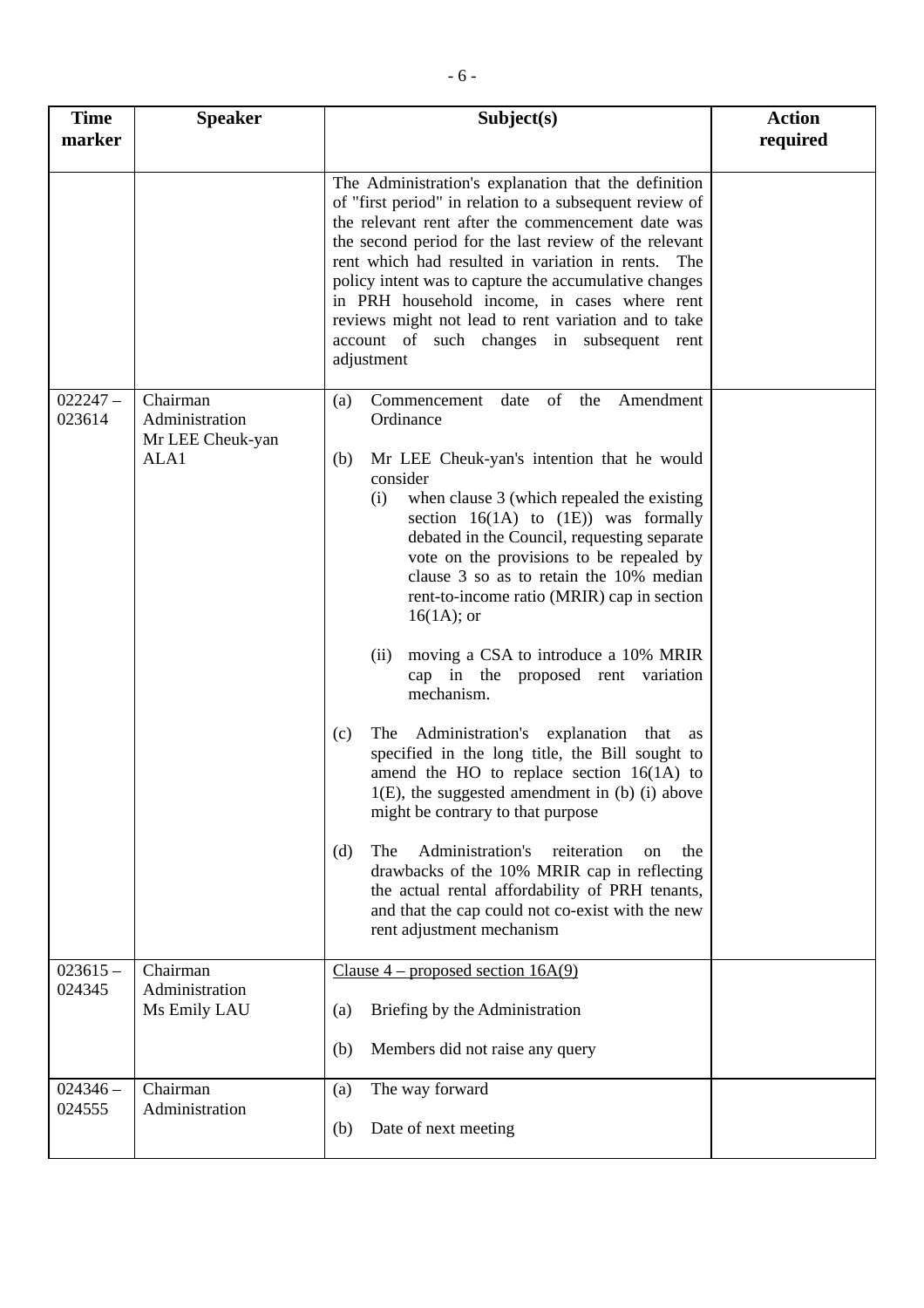| <b>Time</b><br>marker | <b>Speaker</b>                                         | Subject(s)                                                                                                                                                                                                                                                                                                                                                                                                                                                                                                                                                                                                                                                                                                                                                                                                                                                                                                                                                                                                                         | <b>Action</b><br>required |
|-----------------------|--------------------------------------------------------|------------------------------------------------------------------------------------------------------------------------------------------------------------------------------------------------------------------------------------------------------------------------------------------------------------------------------------------------------------------------------------------------------------------------------------------------------------------------------------------------------------------------------------------------------------------------------------------------------------------------------------------------------------------------------------------------------------------------------------------------------------------------------------------------------------------------------------------------------------------------------------------------------------------------------------------------------------------------------------------------------------------------------------|---------------------------|
|                       |                                                        | The Administration's explanation that the definition<br>of "first period" in relation to a subsequent review of<br>the relevant rent after the commencement date was<br>the second period for the last review of the relevant<br>rent which had resulted in variation in rents.<br>The<br>policy intent was to capture the accumulative changes<br>in PRH household income, in cases where rent<br>reviews might not lead to rent variation and to take<br>account of such changes in subsequent rent<br>adjustment                                                                                                                                                                                                                                                                                                                                                                                                                                                                                                                |                           |
| $022247-$<br>023614   | Chairman<br>Administration<br>Mr LEE Cheuk-yan<br>ALA1 | Commencement date of the Amendment<br>(a)<br>Ordinance<br>Mr LEE Cheuk-yan's intention that he would<br>(b)<br>consider<br>when clause 3 (which repealed the existing<br>(i)<br>section $16(1A)$ to $(1E)$ ) was formally<br>debated in the Council, requesting separate<br>vote on the provisions to be repealed by<br>clause 3 so as to retain the 10% median<br>rent-to-income ratio (MRIR) cap in section<br>$16(1A)$ ; or<br>moving a CSA to introduce a 10% MRIR<br>(ii)<br>cap in the proposed rent variation<br>mechanism.<br>The Administration's explanation that as<br>(c)<br>specified in the long title, the Bill sought to<br>amend the HO to replace section $16(1A)$ to<br>$1(E)$ , the suggested amendment in (b) (i) above<br>might be contrary to that purpose<br>Administration's<br>(d)<br>reiteration<br>The<br>the<br>on<br>drawbacks of the 10% MRIR cap in reflecting<br>the actual rental affordability of PRH tenants,<br>and that the cap could not co-exist with the new<br>rent adjustment mechanism |                           |
| $023615 -$<br>024345  | Chairman<br>Administration<br>Ms Emily LAU             | Clause $4$ – proposed section 16A(9)<br>Briefing by the Administration<br>(a)<br>Members did not raise any query<br>(b)                                                                                                                                                                                                                                                                                                                                                                                                                                                                                                                                                                                                                                                                                                                                                                                                                                                                                                            |                           |
| $024346 -$<br>024555  | Chairman<br>Administration                             | The way forward<br>(a)<br>Date of next meeting<br>(b)                                                                                                                                                                                                                                                                                                                                                                                                                                                                                                                                                                                                                                                                                                                                                                                                                                                                                                                                                                              |                           |